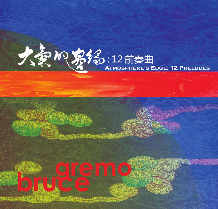## 大多加紧络:12前奏曲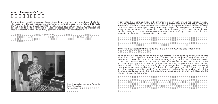## **About 'Atmosphere's Edge.'**

This recording is possible because of Jurgen Frenz. Jurgen teaches audio recording at the Beijing Film Academy. He had recorded a performance of mine at a noise festival held at D22 ("Sally Can't Dance Festival," March 16, 2008), an alternate music club in Beijing. He liked my music enough to invite me to record using the Academy's resources, and volunteered to engineer and master the session himself. It was a very generous offer and I was very grateful for it!

> Jurgen Frenz  $\Box$

A day after the recording, I had a dream; memorable in that it made me feel really good! Too many dreams are anxiety dreams! I was on a platform high above the clouds playing a shakuhachi. It was not a large platform, but it levitated quite happily. I suddenly realized how high I was, and for a moment stopped playing and thought my position to be precarious, thinking; "I am so high on this platform that if I were to fall off, I would be dead long before I even hit the ground!" But then I thought, no. I have been doing this for some time without any problem. I'm in touch with something up here. Just continue playing. Just dandy!

Thus, the post-performance narrative implied in the CD title and track names.

However, preludes are beginnings. I have always admired Debussy's piano preludes, and how the name of the piece appears at the end of the notation. This simple gesture compels one to revisit the question of how music is narrative. The after thought that gives the musical piece a title and its association with a literal narrative, does not belie that there was an original – call it - emotional narrative. Additionally, if such after thoughts discover the poetry of what was said musically, then the appreciation of the music is enhanced. From the perspective of a second language you will know your first language, perhaps for the first time. The performances on this CD were improvised, and when you are improvising you don't fully know all you are doing. You are too busy doing it! My dream provided perspective which enhanced my own appreciation of what I did. Hopefully, the titles do the same for the listener!

Bruce Gremo

Bruce Gremo and engineer Jurgen Frenz at the Beijing Film Academy.

 $CD$ 

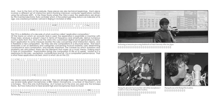And… true to the form of the prelude, these pieces are also technical beginnings. Each piece involves a different set of interactive (pitch-tracking intensive) computer applications (written using the software MSP). In the three tracks where the Cilia is used, the applications are driven by this invented electronic flute controller which, if the patent pending status is an indicator of its age, was created just before I arrived in Beijing in October of 2006.

 $MSP$   $NSP$   $NSP$   $NSP$   $NSP$   $NSP$   $NSP$ 



This CD is a distillation of a decade of what could be called 'application composition.'

Of the tracks on which an acoustic flute is used, the application is essentially a machine with three tasks; analyze a player's input in terms of frequency and amplitude, derive numerous control data from this, and route the data into customized digital sound generating routines. Each application to some measure rewrites the rules concerning what interaction means, and is therefore a new composition. But they are only compositions in a structural sense. That each embodies a set of definitions and categories concerning musical material, rules determining consequence and combination, and equally important, the caveats by which questions and problems are articulated; these are the elements that make up a music theory, making each a type of composition. Improvisation brings the composition to life so to speak. Insofar as it is responsive to the rules – exceptions, contradictions and all - it is a composition performance. That is what these applications do best, and it is what I do on this CD.

这张CD是十年"作曲应用期"的结晶。对于原声长笛演奏的曲子,乐器的应用,本质上是为了



The pieces were all performed on one day. They are all single takes. We had the opportunity to use several really great microphones; a BBC ribbon microphone, a number of Neumann's, and a Schoeps. This is the only multi-tracking. As it turned out in the end, we used only the Schoeps tracks. But how instructive to hear several high end microphones track-to-track!





Performing an interactive piece using shakuhachi at Osaka University of the Arts, Japan.



Playing the glissando head joint flute with all the microphones I would ever want, at the Beijing Film Academy.

Playing the xun at the Beijing Film Academy.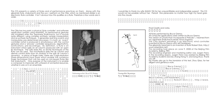This CD presents a variety of flutes and of performance practices on them. Along with the glissando flute, shakuhachi and the xun, I perform on the Cilia, which as mentioned earlier is an electronic flute controller. It isn't obvious how this qualifies as a flute. Therefore a few words are in order.

我在这张CD中使用了多种长笛,采用了不同的演奏方式,同时还用了滑奏长笛、尺八和埙等乐  $\sim$   $\sim$   $\sim$   $\sim$  Cilia

The Cilia has two parts; a physical 'flute controller' and software application (written using MaxMSP). Its performance gestures are modeled after the Japanese Shakuhachi, but it sounds quite different, using complex synthesis, sample manipulation and re-synthesis techniques. It generates real-time events and manipulates pre-determined processes; it is both an 'event' controller (what is produced is simultaneous with the control gestures) and a 'process' controller (sequences, algorhythms, sonifications, pre-recordings). By definition, a flute is an instrument which splits an air column produced with an open lip technique. The Cilia does this, so all the techniques of the flute can be used. The mouthpiece splits the air column and derives control data from an analysis of the split air column's dynamics. In place of finger holes, there are 5 high-resolution three-dimensional track pads which enable the numerous finger techniques that can be used on non-keyed flutes like the shakuhachi. One purpose of the instrument is to enable a composer to improvise with unheard of orchestral resources, whether in solo or in an ensemble

 $m = \pm \sqrt{m}$ 

 $"$  Cilia  $M$ a x $MSP$ <sub> $n \rightarrow \infty$ </sub> 但发出的声音截然不同。"纤毛"使用复杂的合成、采样控制  $\pi$  $\#$  and  $\#$  and  $\#$  and  $\#$  and  $\#$  and  $\#$ 一种吹孔气鸣乐器,"纤毛"也一样,因此所有长笛演奏技法



Performing on the Cilia at D22, Beijing. D22 "Cilia)

I would like to thank my wife XIANG YIN for her unquantifiable and indispensible support. This CD would not be possible without her. Period! She perseveres no matter how high my head goes into the clouds.



Drawing of the Cilia prototype. "(Cilia)

Final Credits and notes.

All flutes performed by Bruce Gremo.

All computer applications were written by Bruce Gremo.

The version of Choshi that I incorporate in Prelude 1, I learned from my Japanese Shakuhachi sensei, Kinya Sogawa.

The Cilia (patent pending) is an electronic wind controller invented by Bruce Gremo and Jeff Feddersen.

The glissando head joint is an invention of flutist Robert Dick, http:// www.robertdick.net/.

This recording took place on June 9, 2008 at the Beijing Film Academy, Beijing, PRC.

The recording engineer and mastering editor was Jurgen Frenz. In the recording session, Jurgen Frenz was assisted by Beijing Film Academy students Dai Dai, Zhang Hong Yi, and Song Shuo. Thank you all!

My thanks also go to the translator of this text, Zhou Qiao, for her diligent and generous work.

> Bruce Gremo Bruce Gremo Choshi

 $\blacksquare$   $\blacksquare$   $\blacksquare$  C ilia

Bruce Gremo Jeff Feddersen

robertdick.net/.

2008 6 9

Robert Dick http://www.

Jurgen Frenz